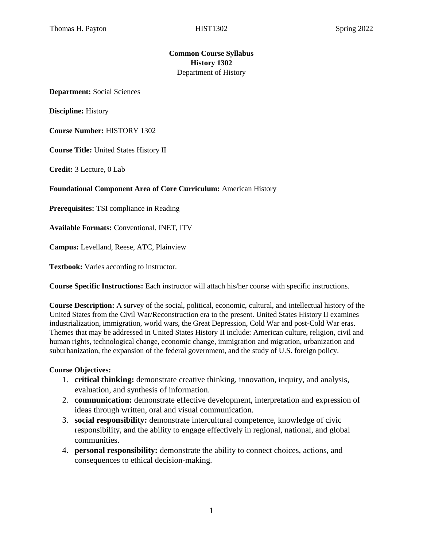#### **Common Course Syllabus History 1302**  Department of History

**Department:** Social Sciences

**Discipline:** History

**Course Number:** HISTORY 1302

**Course Title:** United States History II

**Credit:** 3 Lecture, 0 Lab

**Foundational Component Area of Core Curriculum:** American History

**Prerequisites:** TSI compliance in Reading

**Available Formats:** Conventional, INET, ITV

**Campus:** Levelland, Reese, ATC, Plainview

**Textbook:** Varies according to instructor.

**Course Specific Instructions:** Each instructor will attach his/her course with specific instructions.

**Course Description:** A survey of the social, political, economic, cultural, and intellectual history of the United States from the Civil War/Reconstruction era to the present. United States History II examines industrialization, immigration, world wars, the Great Depression, Cold War and post-Cold War eras. Themes that may be addressed in United States History II include: American culture, religion, civil and human rights, technological change, economic change, immigration and migration, urbanization and suburbanization, the expansion of the federal government, and the study of U.S. foreign policy.

#### **Course Objectives:**

- 1. **critical thinking:** demonstrate creative thinking, innovation, inquiry, and analysis, evaluation, and synthesis of information.
- 2. **communication:** demonstrate effective development, interpretation and expression of ideas through written, oral and visual communication.
- 3. **social responsibility:** demonstrate intercultural competence, knowledge of civic responsibility, and the ability to engage effectively in regional, national, and global communities.
- 4. **personal responsibility:** demonstrate the ability to connect choices, actions, and consequences to ethical decision-making.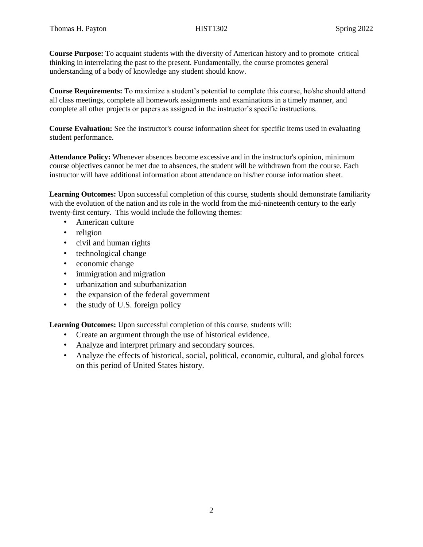**Course Purpose:** To acquaint students with the diversity of American history and to promote critical thinking in interrelating the past to the present. Fundamentally, the course promotes general understanding of a body of knowledge any student should know.

**Course Requirements:** To maximize a student's potential to complete this course, he/she should attend all class meetings, complete all homework assignments and examinations in a timely manner, and complete all other projects or papers as assigned in the instructor's specific instructions.

**Course Evaluation:** See the instructor's course information sheet for specific items used in evaluating student performance.

**Attendance Policy:** Whenever absences become excessive and in the instructor's opinion, minimum course objectives cannot be met due to absences, the student will be withdrawn from the course. Each instructor will have additional information about attendance on his/her course information sheet.

**Learning Outcomes:** Upon successful completion of this course, students should demonstrate familiarity with the evolution of the nation and its role in the world from the mid-nineteenth century to the early twenty-first century. This would include the following themes:

- American culture
- religion
- civil and human rights
- technological change
- economic change
- immigration and migration
- urbanization and suburbanization
- the expansion of the federal government
- the study of U.S. foreign policy

**Learning Outcomes:** Upon successful completion of this course, students will:

- Create an argument through the use of historical evidence.
- Analyze and interpret primary and secondary sources.
- Analyze the effects of historical, social, political, economic, cultural, and global forces on this period of United States history.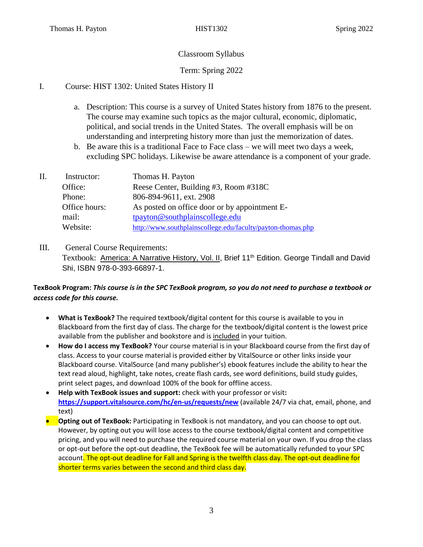# Classroom Syllabus

# Term: Spring 2022

# I. Course: HIST 1302: United States History II

- a. Description: This course is a survey of United States history from 1876 to the present. The course may examine such topics as the major cultural, economic, diplomatic, political, and social trends in the United States. The overall emphasis will be on understanding and interpreting history more than just the memorization of dates.
- b. Be aware this is a traditional Face to Face class we will meet two days a week, excluding SPC holidays. Likewise be aware attendance is a component of your grade.

| H. | Instructor:   | Thomas H. Payton                                            |
|----|---------------|-------------------------------------------------------------|
|    | Office:       | Reese Center, Building #3, Room #318C                       |
|    | Phone:        | 806-894-9611, ext. 2908                                     |
|    | Office hours: | As posted on office door or by appointment E-               |
|    | mail:         | tpayton@southplainscollege.edu                              |
|    | Website:      | http://www.southplainscollege.edu/faculty/payton-thomas.php |

III. General Course Requirements: Textbook: America: A Narrative History, Vol. II, Brief 11<sup>th</sup> Edition. George Tindall and David Shi, ISBN 978-0-393-66897-1.

#### **TexBook Program:** *This course is in the SPC TexBook program, so you do not need to purchase a textbook or access code for this course.*

- **What is TexBook?** The required textbook/digital content for this course is available to you in Blackboard from the first day of class. The charge for the textbook/digital content is the lowest price available from the publisher and bookstore and is included in your tuition.
- **How do I access my TexBook?** Your course material is in your Blackboard course from the first day of class. Access to your course material is provided either by VitalSource or other links inside your Blackboard course. VitalSource (and many publisher's) ebook features include the ability to hear the text read aloud, highlight, take notes, create flash cards, see word definitions, build study guides, print select pages, and download 100% of the book for offline access.
- **Help with TexBook issues and support:** check with your professor or visit**: <https://support.vitalsource.com/hc/en-us/requests/new>** (available 24/7 via chat, email, phone, and text)
- **Opting out of TexBook:** Participating in TexBook is not mandatory, and you can choose to opt out. However, by opting out you will lose access to the course textbook/digital content and competitive pricing, and you will need to purchase the required course material on your own. If you drop the class or opt-out before the opt-out deadline, the TexBook fee will be automatically refunded to your SPC account. The opt-out deadline for Fall and Spring is the twelfth class day. The opt-out deadline for shorter terms varies between the second and third class day.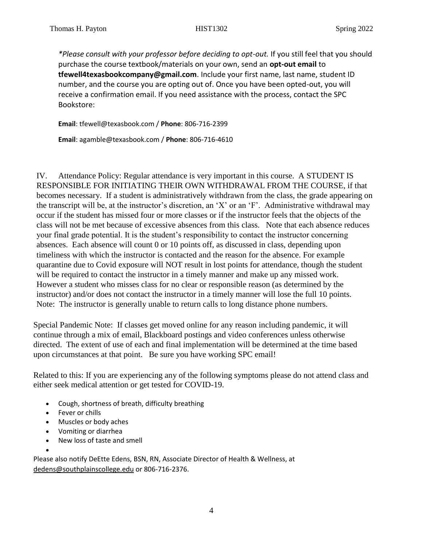*\*Please consult with your professor before deciding to opt-out.* If you still feel that you should purchase the course textbook/materials on your own, send an **opt-out email** to **tfewell4texasbookcompany@gmail.com**. Include your first name, last name, student ID number, and the course you are opting out of. Once you have been opted-out, you will receive a confirmation email. If you need assistance with the process, contact the SPC Bookstore:

**Email**: tfewell@texasbook.com / **Phone**: 806-716-2399

**Email**: agamble@texasbook.com / **Phone**: 806-716-4610

IV. Attendance Policy: Regular attendance is very important in this course. A STUDENT IS RESPONSIBLE FOR INITIATING THEIR OWN WITHDRAWAL FROM THE COURSE, if that becomes necessary. If a student is administratively withdrawn from the class, the grade appearing on the transcript will be, at the instructor's discretion, an 'X' or an 'F'. Administrative withdrawal may occur if the student has missed four or more classes or if the instructor feels that the objects of the class will not be met because of excessive absences from this class. Note that each absence reduces your final grade potential. It is the student's responsibility to contact the instructor concerning absences. Each absence will count 0 or 10 points off, as discussed in class, depending upon timeliness with which the instructor is contacted and the reason for the absence. For example quarantine due to Covid exposure will NOT result in lost points for attendance, though the student will be required to contact the instructor in a timely manner and make up any missed work. However a student who misses class for no clear or responsible reason (as determined by the instructor) and/or does not contact the instructor in a timely manner will lose the full 10 points. Note: The instructor is generally unable to return calls to long distance phone numbers.

Special Pandemic Note: If classes get moved online for any reason including pandemic, it will continue through a mix of email, Blackboard postings and video conferences unless otherwise directed. The extent of use of each and final implementation will be determined at the time based upon circumstances at that point. Be sure you have working SPC email!

Related to this: If you are experiencing any of the following symptoms please do not attend class and either seek medical attention or get tested for COVID-19.

- Cough, shortness of breath, difficulty breathing
- Fever or chills
- Muscles or body aches
- Vomiting or diarrhea
- New loss of taste and smell
- •

Please also notify DeEtte Edens, BSN, RN, Associate Director of Health & Wellness, at [dedens@southplainscollege.edu](mailto:dedens@southplainscollege.edu) or 806-716-2376.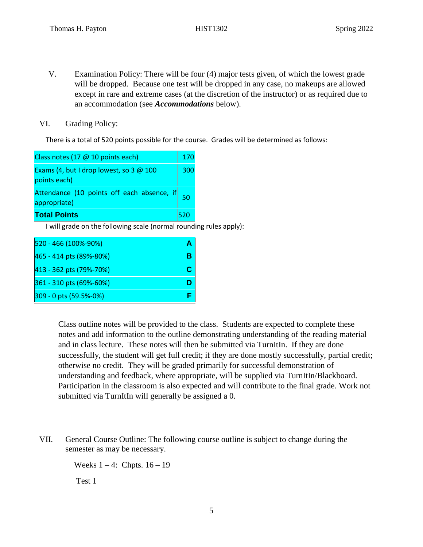- V. Examination Policy: There will be four (4) major tests given, of which the lowest grade will be dropped. Because one test will be dropped in any case, no makeups are allowed except in rare and extreme cases (at the discretion of the instructor) or as required due to an accommodation (see *Accommodations* below).
- VI. Grading Policy:

There is a total of 520 points possible for the course. Grades will be determined as follows:



I will grade on the following scale (normal rounding rules apply):

| 520 - 466 (100%-90%)    |  |
|-------------------------|--|
| 465 - 414 pts (89%-80%) |  |
| 413 - 362 pts (79%-70%) |  |
| 361 - 310 pts (69%-60%) |  |
| 309 - 0 pts (59.5%-0%)  |  |

Class outline notes will be provided to the class. Students are expected to complete these notes and add information to the outline demonstrating understanding of the reading material and in class lecture. These notes will then be submitted via TurnItIn. If they are done successfully, the student will get full credit; if they are done mostly successfully, partial credit; otherwise no credit. They will be graded primarily for successful demonstration of understanding and feedback, where appropriate, will be supplied via TurnItIn/Blackboard. Participation in the classroom is also expected and will contribute to the final grade. Work not submitted via TurnItIn will generally be assigned a 0.

VII. General Course Outline: The following course outline is subject to change during the semester as may be necessary.

Weeks  $1 - 4$ : Chpts.  $16 - 19$ 

Test 1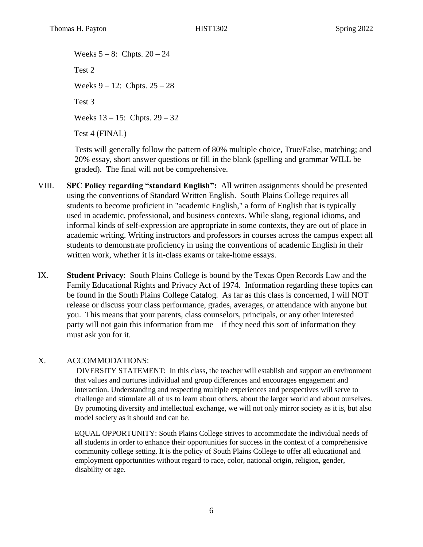Weeks  $5 - 8$ : Chpts.  $20 - 24$ Test 2 Weeks  $9 - 12$ : Chpts.  $25 - 28$ Test 3 Weeks 13 – 15: Chpts. 29 – 32 Test 4 (FINAL)

Tests will generally follow the pattern of 80% multiple choice, True/False, matching; and 20% essay, short answer questions or fill in the blank (spelling and grammar WILL be graded). The final will not be comprehensive.

- VIII. **SPC Policy regarding "standard English":** All written assignments should be presented using the conventions of Standard Written English. South Plains College requires all students to become proficient in "academic English," a form of English that is typically used in academic, professional, and business contexts. While slang, regional idioms, and informal kinds of self-expression are appropriate in some contexts, they are out of place in academic writing. Writing instructors and professors in courses across the campus expect all students to demonstrate proficiency in using the conventions of academic English in their written work, whether it is in-class exams or take-home essays.
- IX. **Student Privacy**: South Plains College is bound by the Texas Open Records Law and the Family Educational Rights and Privacy Act of 1974. Information regarding these topics can be found in the South Plains College Catalog. As far as this class is concerned, I will NOT release or discuss your class performance, grades, averages, or attendance with anyone but you. This means that your parents, class counselors, principals, or any other interested party will not gain this information from  $me - if$  they need this sort of information they must ask you for it.

# X. ACCOMMODATIONS:

DIVERSITY STATEMENT: In this class, the teacher will establish and support an environment that values and nurtures individual and group differences and encourages engagement and interaction. Understanding and respecting multiple experiences and perspectives will serve to challenge and stimulate all of us to learn about others, about the larger world and about ourselves. By promoting diversity and intellectual exchange, we will not only mirror society as it is, but also model society as it should and can be.

EQUAL OPPORTUNITY: South Plains College strives to accommodate the individual needs of all students in order to enhance their opportunities for success in the context of a comprehensive community college setting. It is the policy of South Plains College to offer all educational and employment opportunities without regard to race, color, national origin, religion, gender, disability or age.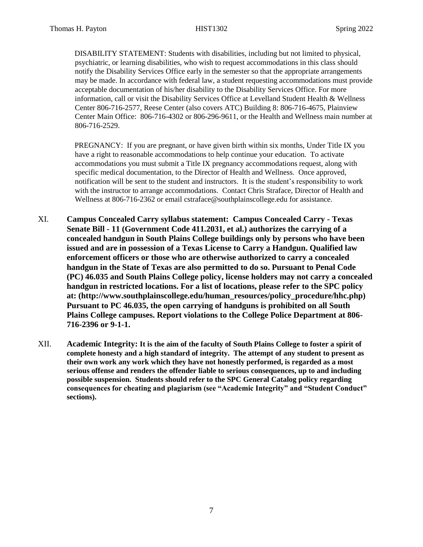DISABILITY STATEMENT: Students with disabilities, including but not limited to physical, psychiatric, or learning disabilities, who wish to request accommodations in this class should notify the Disability Services Office early in the semester so that the appropriate arrangements may be made. In accordance with federal law, a student requesting accommodations must provide acceptable documentation of his/her disability to the Disability Services Office. For more information, call or visit the Disability Services Office at Levelland Student Health & Wellness Center 806-716-2577, Reese Center (also covers ATC) Building 8: 806-716-4675, Plainview Center Main Office: 806-716-4302 or 806-296-9611, or the Health and Wellness main number at 806-716-2529.

PREGNANCY: If you are pregnant, or have given birth within six months, Under Title IX you have a right to reasonable accommodations to help continue your education. To activate accommodations you must submit a Title IX pregnancy accommodations request, along with specific medical documentation, to the Director of Health and Wellness. Once approved, notification will be sent to the student and instructors. It is the student's responsibility to work with the instructor to arrange accommodations. Contact Chris Straface, Director of Health and Wellness at 806-716-2362 or email [cstraface@southplainscollege.edu](mailto:cstraface@southplainscollege.edu) for assistance.

- XI. **Campus Concealed Carry syllabus statement: Campus Concealed Carry - Texas Senate Bill - 11 (Government Code 411.2031, et al.) authorizes the carrying of a concealed handgun in South Plains College buildings only by persons who have been issued and are in possession of a Texas License to Carry a Handgun. Qualified law enforcement officers or those who are otherwise authorized to carry a concealed handgun in the State of Texas are also permitted to do so. Pursuant to Penal Code (PC) 46.035 and South Plains College policy, license holders may not carry a concealed handgun in restricted locations. For a list of locations, please refer to the SPC policy at: (http://www.southplainscollege.edu/human\_resources/policy\_procedure/hhc.php) Pursuant to PC 46.035, the open carrying of handguns is prohibited on all South Plains College campuses. Report violations to the College Police Department at 806- 716-2396 or 9-1-1.**
- XII. **Academic Integrity: It is the aim of the faculty of South Plains College to foster a spirit of complete honesty and a high standard of integrity. The attempt of any student to present as their own work any work which they have not honestly performed, is regarded as a most serious offense and renders the offender liable to serious consequences, up to and including possible suspension. Students should refer to the SPC General Catalog policy regarding consequences for cheating and plagiarism (see "Academic Integrity" and "Student Conduct" sections).**